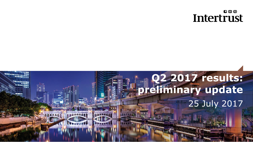#### $00D$ **Intertrust**

# **Q2 2017 results: preliminary update** 25 July 2017

**Procession**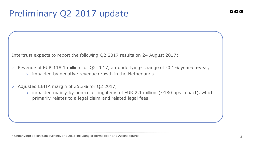## Preliminary Q2 2017 update

Intertrust expects to report the following Q2 2017 results on 24 August 2017:

- $>$  Revenue of EUR 118.1 million for Q2 2017, an underlying<sup>1</sup> change of -0.1% year-on-year, impacted by negative revenue growth in the Netherlands.
- $>$  Adjusted EBITA margin of 35.3% for Q2 2017,
	- $>$  impacted mainly by non-recurring items of EUR 2.1 million ( $\sim$ 180 bps impact), which primarily relates to a legal claim and related legal fees.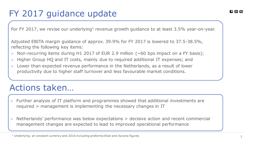For FY 2017, we revise our underlying<sup>1</sup> revenue growth guidance to at least 3.5% year-on-year.

Adjusted EBITA margin guidance of approx. 39.9% for FY 2017 is lowered to 37.5-38.5%, reflecting the following key items:

- $>$  Non-recurring items during H1 2017 of EUR 2.9 million ( $\sim$  60 bps impact on a FY basis);
- Higher Group HQ and IT costs, mainly due to required additional IT expenses; and
- Lower than expected revenue performance in the Netherlands, as a result of lower productivity due to higher staff turnover and less favourable market conditions.

#### Actions taken…

- Further analysis of IT platform and programmes showed that additional investments are required > management is implementing the necessary changes in IT
- Netherlands' performance was below expectations > decisive action and recent commercial management changes are expected to lead to improved operational performance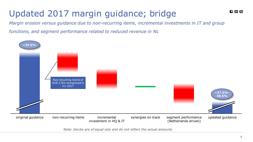# Updated 2017 margin guidance; bridge

*Margin erosion versus guidance due to non-recurring items, incremental investments in IT and group* 

*functions, and segment performance related to reduced revenue in NL* 



*Note: blocks are of equal size and do not reflect the actual amounts*

 $\bm{E}$  ග ග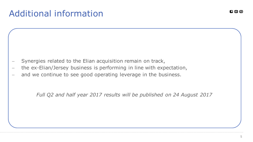### Additional information

- Synergies related to the Elian acquisition remain on track,
- the ex-Elian/Jersey business is performing in line with expectation,
- and we continue to see good operating leverage in the business.

*Full Q2 and half year 2017 results will be published on 24 August 2017*